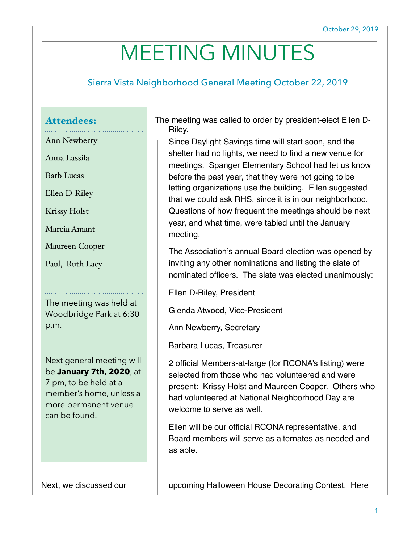# MEETING MINUTES

## Sierra Vista Neighborhood General Meeting October 22, 2019

### Attendees:

Ann Newberry

Anna Lassila

Barb Lucas

Ellen D-Riley

Krissy Holst

Marcia Amant

Maureen Cooper

Paul, Ruth Lacy

The meeting was held at Woodbridge Park at 6:30 p.m.

Next general meeting will be **January 7th, 2020**, at 7 pm, to be held at a member's home, unless a more permanent venue can be found.

The meeting was called to order by president-elect Ellen D-Riley.

Since Daylight Savings time will start soon, and the shelter had no lights, we need to find a new venue for meetings. Spanger Elementary School had let us know before the past year, that they were not going to be letting organizations use the building. Ellen suggested that we could ask RHS, since it is in our neighborhood. Questions of how frequent the meetings should be next year, and what time, were tabled until the January meeting.

The Association's annual Board election was opened by inviting any other nominations and listing the slate of nominated officers. The slate was elected unanimously:

Ellen D-Riley, President

Glenda Atwood, Vice-President

Ann Newberry, Secretary

Barbara Lucas, Treasurer

2 official Members-at-large (for RCONA's listing) were selected from those who had volunteered and were present: Krissy Holst and Maureen Cooper. Others who had volunteered at National Neighborhood Day are welcome to serve as well.

Ellen will be our official RCONA representative, and Board members will serve as alternates as needed and as able.

Next, we discussed our **Next and Alloween House Decorating Contest.** Here